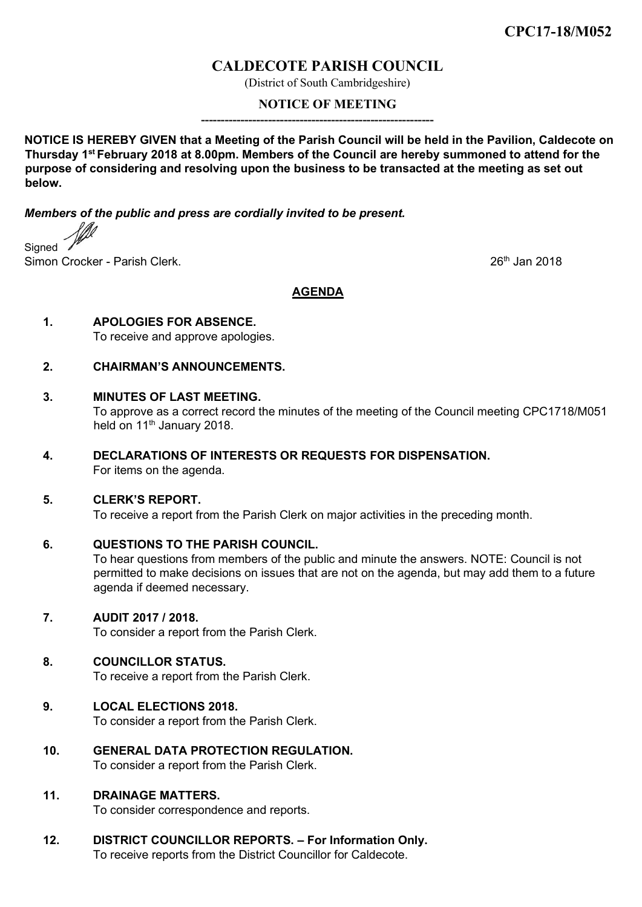# **CALDECOTE PARISH COUNCIL**

(District of South Cambridgeshire)

## **NOTICE OF MEETING**

**NOTICE IS HEREBY GIVEN that a Meeting of the Parish Council will be held in the Pavilion, Caldecote on Thursday 1st February 2018 at 8.00pm. Members of the Council are hereby summoned to attend for the purpose of considering and resolving upon the business to be transacted at the meeting as set out below.**

**-----------------------------------------------------------**

*Members of the public and press are cordially invited to be present.* 

Signed Simon Crocker - Parish Clerk. 2018

**AGENDA**

**1. APOLOGIES FOR ABSENCE.**

To receive and approve apologies.

**2. CHAIRMAN'S ANNOUNCEMENTS.**

#### **3. MINUTES OF LAST MEETING.**

To approve as a correct record the minutes of the meeting of the Council meeting CPC1718/M051 held on 11<sup>th</sup> January 2018.

**4. DECLARATIONS OF INTERESTS OR REQUESTS FOR DISPENSATION.**  For items on the agenda.

## **5. CLERK'S REPORT.**

To receive a report from the Parish Clerk on major activities in the preceding month.

## **6. QUESTIONS TO THE PARISH COUNCIL.**

To hear questions from members of the public and minute the answers. NOTE: Council is not permitted to make decisions on issues that are not on the agenda, but may add them to a future agenda if deemed necessary.

## **7. AUDIT 2017 / 2018.**

To consider a report from the Parish Clerk.

# **8. COUNCILLOR STATUS.**

To receive a report from the Parish Clerk.

# **9. LOCAL ELECTIONS 2018.**

To consider a report from the Parish Clerk.

**10. GENERAL DATA PROTECTION REGULATION.** To consider a report from the Parish Clerk.

# **11. DRAINAGE MATTERS.**

To consider correspondence and reports.

**12. DISTRICT COUNCILLOR REPORTS. – For Information Only.** To receive reports from the District Councillor for Caldecote.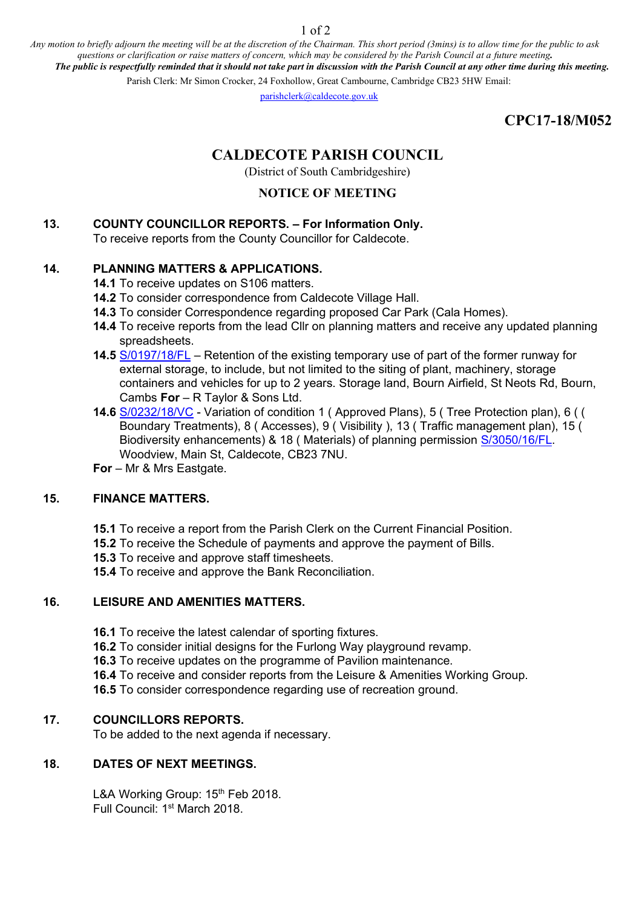1 of 2

*Any motion to briefly adjourn the meeting will be at the discretion of the Chairman. This short period (3mins) is to allow time for the public to ask questions or clarification or raise matters of concern, which may be considered by the Parish Council at a future meeting. The public is respectfully reminded that it should not take part in discussion with the Parish Council at any other time during this meeting.* 

Parish Clerk: Mr Simon Crocker, 24 Foxhollow, Great Cambourne, Cambridge CB23 5HW Email:

parishclerk@caldecote.gov.uk

**CPC17-18/M052** 

# **CALDECOTE PARISH COUNCIL**

(District of South Cambridgeshire)

# **NOTICE OF MEETING**

# **13. COUNTY COUNCILLOR REPORTS. – For Information Only.**

To receive reports from the County Councillor for Caldecote.

# **14. PLANNING MATTERS & APPLICATIONS.**

- **14.1** To receive updates on S106 matters.
- **14.2** To consider correspondence from Caldecote Village Hall.
- **14.3** To consider Correspondence regarding proposed Car Park (Cala Homes).
- **14.4** To receive reports from the lead Cllr on planning matters and receive any updated planning spreadsheets.
- **14.5** [S/0197/18/FL](http://plan.scambs.gov.uk/swiftlg/apas/run/WPHAPPDETAIL.DisplayUrl?theApnID=S/0197/18/FL&theTabNo=3&backURL=%3Ca%20href=wphappcriteria.display?paSearchKey=1464820%3ESearch%20Criteria%3C/a%3E%20%3E%20%3Ca%20href=%27wphappsearchres.displayResultsURL?ResultID=1969189%26StartIndex=1%26SortOrder=rgndat:desc%26DispResultsAs=WPHAPPSEARCHRES%26BackURL=%3Ca%20href=wphappcriteria.display?paSearchKey=1464820%3ESearch%20Criteria%3C/a%3E%27%3ESearch%20Results%3C/a%3E) Retention of the existing temporary use of part of the former runway for external storage, to include, but not limited to the siting of plant, machinery, storage containers and vehicles for up to 2 years. Storage land, Bourn Airfield, St Neots Rd, Bourn, Cambs **For** – R Taylor & Sons Ltd.
- **14.6** [S/0232/18/VC](http://plan.scambs.gov.uk/swiftlg/apas/run/WPHAPPDETAIL.DisplayUrl?theApnID=S/0232/18/VC&theTabNo=3&backURL=%3Ca%20href=wphappcriteria.display?paSearchKey=1464906%3ESearch%20Criteria%3C/a%3E%20%3E%20%3Ca%20href=%27wphappsearchres.displayResultsURL?ResultID=1969280%26StartIndex=1%26SortOrder=rgndat:desc%26DispResultsAs=WPHAPPSEARCHRES%26BackURL=%3Ca%20href=wphappcriteria.display?paSearchKey=1464906%3ESearch%20Criteria%3C/a%3E%27%3ESearch%20Results%3C/a%3E) Variation of condition 1 ( Approved Plans), 5 ( Tree Protection plan), 6 ( ( Boundary Treatments), 8 ( Accesses), 9 ( Visibility ), 13 ( Traffic management plan), 15 ( Biodiversity enhancements) & 18 ( Materials) of planning permission [S/3050/16/FL.](http://plan.scambs.gov.uk/swiftlg/apas/run/WPHAPPDETAIL.DisplayUrl?theApnID=S/3050/16/FL&theTabNo=3&backURL=%3Ca%20href=wphappcriteria.display?paSearchKey=1464907%3ESearch%20Criteria%3C/a%3E%20%3E%20%3Ca%20href=%27wphappsearchres.displayResultsURL?ResultID=1969281%26StartIndex=1%26SortOrder=rgndat:desc%26DispResultsAs=WPHAPPSEARCHRES%26BackURL=%3Ca%20href=wphappcriteria.display?paSearchKey=1464907%3ESearch%20Criteria%3C/a%3E%27%3ESearch%20Results%3C/a%3E) Woodview, Main St, Caldecote, CB23 7NU.
- **For** Mr & Mrs Eastgate.

## **15. FINANCE MATTERS.**

- **15.1** To receive a report from the Parish Clerk on the Current Financial Position.
- **15.2** To receive the Schedule of payments and approve the payment of Bills.
- **15.3** To receive and approve staff timesheets.
- **15.4** To receive and approve the Bank Reconciliation.

## **16. LEISURE AND AMENITIES MATTERS.**

- **16.1** To receive the latest calendar of sporting fixtures.
- **16.2** To consider initial designs for the Furlong Way playground revamp.
- **16.3** To receive updates on the programme of Pavilion maintenance.
- **16.4** To receive and consider reports from the Leisure & Amenities Working Group.
- **16.5** To consider correspondence regarding use of recreation ground.

# **17. COUNCILLORS REPORTS.**

To be added to the next agenda if necessary.

## **18. DATES OF NEXT MEETINGS.**

L&A Working Group: 15<sup>th</sup> Feb 2018. Full Council: 1st March 2018.